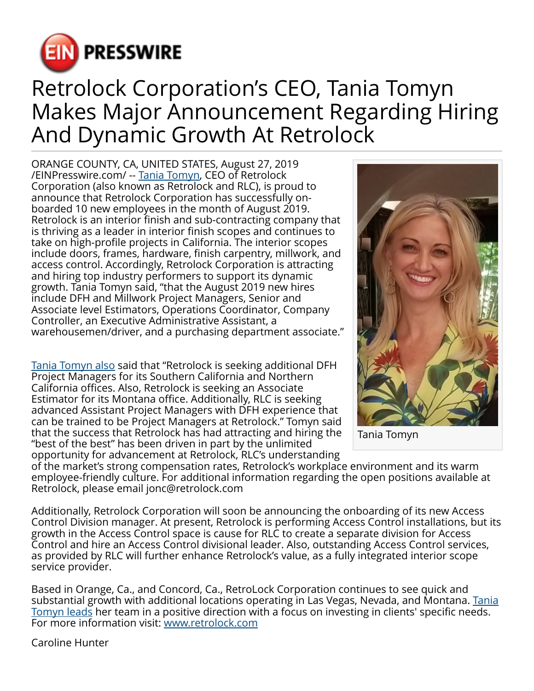

## Retrolock Corporation's CEO, Tania Tomyn Makes Major Announcement Regarding Hiring And Dynamic Growth At Retrolock

ORANGE COUNTY, CA, UNITED STATES, August 27, 2019 [/EINPresswire.com/](http://www.einpresswire.com) -- [Tania Tomyn,](https://www.accesswire.com/556909/CEO-of-RetroLock-Tania-Tomyn-Visits-St-Croix) CEO of Retrolock Corporation (also known as Retrolock and RLC), is proud to announce that Retrolock Corporation has successfully onboarded 10 new employees in the month of August 2019. Retrolock is an interior finish and sub-contracting company that is thriving as a leader in interior finish scopes and continues to take on high-profile projects in California. The interior scopes include doors, frames, hardware, finish carpentry, millwork, and access control. Accordingly, Retrolock Corporation is attracting and hiring top industry performers to support its dynamic growth. Tania Tomyn said, "that the August 2019 new hires include DFH and Millwork Project Managers, Senior and Associate level Estimators, Operations Coordinator, Company Controller, an Executive Administrative Assistant, a warehousemen/driver, and a purchasing department associate."

[Tania Tomyn also](https://taniatomyn.com/) said that "Retrolock is seeking additional DFH Project Managers for its Southern California and Northern California offices. Also, Retrolock is seeking an Associate Estimator for its Montana office. Additionally, RLC is seeking advanced Assistant Project Managers with DFH experience that can be trained to be Project Managers at Retrolock." Tomyn said that the success that Retrolock has had attracting and hiring the "best of the best" has been driven in part by the unlimited opportunity for advancement at Retrolock, RLC's understanding



Tania Tomyn

of the market's strong compensation rates, Retrolock's workplace environment and its warm employee-friendly culture. For additional information regarding the open positions available at Retrolock, please email jonc@retrolock.com

Additionally, Retrolock Corporation will soon be announcing the onboarding of its new Access Control Division manager. At present, Retrolock is performing Access Control installations, but its growth in the Access Control space is cause for RLC to create a separate division for Access Control and hire an Access Control divisional leader. Also, outstanding Access Control services, as provided by RLC will further enhance Retrolock's value, as a fully integrated interior scope service provider.

Based in Orange, Ca., and Concord, Ca., RetroLock Corporation continues to see quick and substantial growth with additional locations operating in Las Vegas, Nevada, and Montana. [Tania](https://medium.com/@taniatomyn) [Tomyn leads](https://medium.com/@taniatomyn) her team in a positive direction with a focus on investing in clients' specific needs. For more information visit: [www.retrolock.com](http://www.retrolock.com)

Caroline Hunter